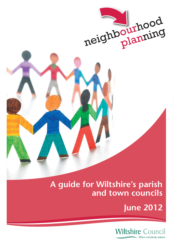

## **A guide for Wiltshire's parish and town councils**

**June 2012**

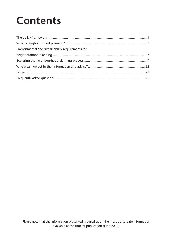# **Contents**

| Environmental and sustainability requirements for |  |
|---------------------------------------------------|--|
|                                                   |  |
|                                                   |  |
|                                                   |  |
|                                                   |  |
|                                                   |  |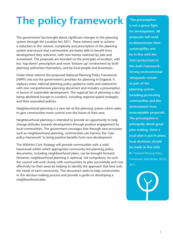# **The policy framework**

The government has brought about significant changes to the planning system through the Localism Act 2011. These reforms seek to achieve a reduction in the volume, complexity and prescription of the planning system and ensure that communities are better able to benefit from development they welcome, with new homes matched by jobs and investment. The proposals are founded on the principles of localism, with less 'top-down' prescription and more 'bottom up' involvement by both planning authorities themselves, and by local people and businesses.

Under these reforms the proposed National Planning Policy Framework (NPPF) sets out the government's priorities for planning in England. It replaces many national planning policy guidance notes and statements with one comprehensive planning document and includes a presumption in favour of sustainable development. The regional tier of planning is also being abolished (except in London), including regional spatial strategies and their associated policies.

Neighbourhood planning is a new tier of the planning system which seeks to give communities more control over the future of their area.

Neighbourhood planning is intended to provide an opportunity to help change attitudes towards development through positive engagement by local communities. The government envisages that through new processes such as neighbourhood planning, communities can harness this 'new policy framework' to bring positive benefits from new development.

The Wiltshire Core Strategy will provide communities with a solid framework within which appropriate community-led planning policy documents, including neighbourhood plans, can be brought forward. However, neighbourhood planning is optional, not compulsory. As such the council will work closely with communities to plan successfully and cost effectively for their areas by helping to identify the approach that best suits the needs of each community. This document seeks to help communities in this decision making process and provide a guide on developing a neighbourhood plan.

**'The presumption is not a green light for development. All proposals will need to demonstrate their sustainability and be in line with the strict protections in the draft framework. Strong environmental safeguards remain as part of the planning system, including protecting communities and the environment from unacceptable proposals. The presumption is principally about good plan making. Once a local plan is put in place, local decisions should be made in line with it.'** National Planning Policy Framework: Myth-Buster, DCLG, 2011

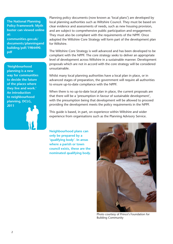**The National Planning Policy Framework: Myth buster can viewed online at:**

**communities.gov.uk/ documents/planningand building/pdf/1984490. pdf**

**'Neighbourhood planning is a new way for communities to decide the future of the places where they live and work.' An introduction to neighbourhood planning, DCLG, 2011**

Planning policy documents (now known as 'local plans') are developed by local planning authorities such as Wiltshire Council. They must be based on clear evidence and assessments of needs, such as new housing provision, and are subject to comprehensive public participation and engagement. They must also be compliant with the requirements of the NPPF. Once adopted the Wiltshire Core Strategy will form part of the development plan for Wiltshire.

The Wiltshire Core Strategy is well advanced and has been developed to be compliant with the NPPF. The core strategy seeks to deliver an appropriate level of development across Wiltshire in a sustainable manner. Development proposals which are not in accord with the core strategy will be considered unsustainable.

Whilst many local planning authorities have a local plan in place, or in advanced stages of preparation, the government will require all authorities to ensure up-to-date compliance with the NPPF.

When there is no up-to-date local plan in place, the current proposals are that there will be a 'presumption in favour of sustainable development', with the presumption being that development will be allowed to proceed providing the development meets the policy requirements in the NPPF.

This guide is based, in part, on experience within Wiltshire and wider experience from organisations such as the Planning Advisory Service.

**Neighbourhood plans can only be prepared by a 'qualifying body'. In areas where a parish or town council exists, these are the nominated qualifying body.**



Photo courtesy of Prince's Foundation for Building Community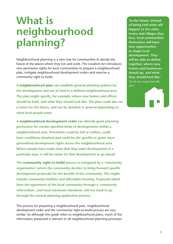## **What is neighbourhood planning?**

Neighbourhood planning is a new way for communities to decide the future of the places where they live and work. The Localism Act introduces new permissive rights for local communities to prepare a neighbourhood plan, instigate neighbourhood development orders and exercise a community right to build.

**A neighbourhood plan can establish general planning policies for**  the development and use of land in a defined neighbourhood area. The plan might specify, for example, where new homes and offices **should be built, and what they should look like. The plan could also set a vision for the future, and can be detailed or general depending on what local people want.**

**A neighbourhood development order can directly grant planning**  permission for certain specified kinds of developments within a **neighbourhood area. Permission could be full or outline, could**  have conditions attached and could be site specific or grant more **generalised development rights across the neighbourhood area. Where people have made clear that they want development of a particular type, it will be easier for that development to go ahead.**

**The community right-to-build process is instigated by a 'community organisation' where the community decides to bring forward specific** development proposals for the benefit of the community. This might **include community facilities and affordable housing. Proposals which have the agreement of the local community through a 'community referendum', and meet minimum standards, will not need to go through the normal planning application process.**

The process for preparing a neighbourhood plan, neighbourhood development order and the community right-to-build process are very similar. So although this guide refers to neighbourhood plans, much of the information presented is relevant to all neighbourhood planning processes. **'In the future, instead of being told what will happen to the cities, towns and villages they love, local communities themselves will have new opportunities to shape local development. They**  will be able to define, **together, where new homes and businesses should go, and what they should look like.'**  The Rt Hon Greg Clark MP, 2011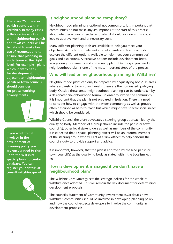**There are 253 town or parish councils within Wiltshire. In many cases collaborative working with neighbouring parish and town councils will be beneficial to make best use of resources and to ensure that planning in undertaken at the right level. For example - plans which identify sites for development, in or adjacent to neighbouring parish or town councils, should consider reciprocal working arrangements.**

**If you want to get involved in the development of planning policy you are encouraged to sign up to the Wiltshire spatial planning contact database. You can register your details at: consult.wiltshire.gov.uk**



### **Is neighbourhood planning compulsory?**

Neighbourhood planning is optional not compulsory. It is important that communities do not make any assumptions at the start of this process about whether a plan is needed and what it should include as this could lead to abortive work and unnecessary costs.

Many different planning tools are available to help you meet your objectives. As such this guide seeks to help parish and town councils explore the different options available to help meet your communities' goals and aspirations. Alternative options include development briefs, village design statements and community plans. Deciding if you need a neighbourhood plan is one of the most important steps of the process.

### **Who will lead on neighbourhood planning in Wiltshire?**

Neighbourhood plans can only be prepared by a 'qualifying body'. In areas where a parish or town council exists, these are the nominated qualifying body. Outside these areas, neighbourhood planning can be undertaken by a designated 'neighbourhood forum'. In order to involve the community it is important that the plan is not prepared in isolation. There is a need to consider how to engage with the wider community as well as groups often described as hard-to-reach but which might have specific social needs which should be considered.

Wiltshire Council therefore advocates a steering group approach led by the qualifying body. Members of a group should include the parish or town council(s), other local stakeholders as well as members of the community. It is expected that a spatial planning officer will be an informal member of the steering group who will act as a 'link officer' to help perform the council's duty to provide support and advice.

It is important, however, that the plan is approved by the lead parish or town council(s) as the qualifying body as stated within the Localism Act 2011.

### **How is development managed if we don't have a neighbourhood plan?**

The Wiltshire Core Strategy sets the strategic policies for the whole of Wiltshire once adopted. This will remain the key document for determining development proposals.

The council's Statement of Community Involvement (SCI) details how Wiltshire's communities should be involved in developing planning policy and how the council expects developers to involve the community in development proposals.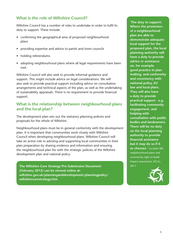### **What is the role of Wiltshire Council?**

Wiltshire Council has a number of roles to undertake in order to fulfil its duty to support. These include:

- confirming the geographical area of proposed neighbourhood plans
- providing expertise and advice to parish and town councils
- holding referendums
- adopting neighbourhood plans where all legal requirements have been met.

Wiltshire Council will also seek to provide informal guidance and support. This might include advice on legal considerations. We will also seek to provide practical support including advice on consultation arrangements and technical aspects of the plan, as well as the undertaking of sustainability appraisals. There is no requirement to provide financial support.

### **What is the relationship between neighbourhood plans and the local plan?**

The development plan sets out the statutory planning policies and proposals for the whole of Wiltshire.

Neighbourhood plans must be in general conformity with the development plan. It is important that communities work closely with Wiltshire Council when developing neighbourhood plans. Wiltshire Council will take an active role in advising and supporting local communities in their plan preparation by sharing evidence and information and ensuring the neighbourhood plan fits with the strategic policies of the Wiltshire development plan and national policy.

**The Wiltshire Core Strategy Pre-Submission Document** 2011 **(February 2012) can be viewed online at: wiltshire.gov.uk/planninganddevelopment/planningpolicy/ wiltshirecorestrategy.htm**

**'The duty to support: Where the promoters of a neighbourhood plan are able to demonstrate adequate local support for the proposed plan, the local planning authority will have a duty to provide advice or assistance on, for example, good practice in plan making, and conformity and consistency with national policy, EU law and local plans. They will also have a duty to provide practical support - e.g. facilitating community engagement, and helping with consultation with public bodies and landowners. There will be no duty on the local planning authority to provide fi nancial assistance but it may do so if it so chooses.'** Localism Bill: neighbourhood plans and community right to build Impact assessment, DCLG,

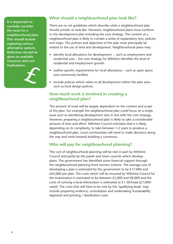**It is important to carefully consider the need for a neighbourhood plan. This should include exploring various alternative options. Reflection should be given to available resources and cost** 



### **What should a neighbourhood plan look like?**

There are no set guidelines which describe what a neighbourhood plan should contain or look like. However, neighbourhood plans must conform to the development plan including the core strategy. The content of a neighbourhood plan is likely to contain a series of explanatory text, policies and maps. The policies and objectives of the plan must principally be related to the use of land and development. Neighbourhood plans may:

- identify local allocations for development such as employment and residential uses – the core strategy for Wiltshire identifies the level of residential and employment growth
- outline specific requirements for local allocations  $-$  such as open space and community facilities
- include policies which relate to all development within the plan area such as local design policies.

#### **How much work is involved in creating a neighbourhood plan?**

The amount of work will be largely dependent on the content and scope of the plan. For example the neighbourhood plan could focus on a single issue such as identifying development sites in line with the core strategy. However, preparing a neighbourhood plan is likely to take a considerable amount of time and effort. Wiltshire Council estimates that it is likely, depending on its complexity, to take between 1-2 years to produce a neighbourhood plan. Local communities will need to make decisions along the way and work towards building a consensus.

### **Who will pay for neighbourhood planning?**

The cost of neighbourhood planning will be met in part by Wiltshire Council and partly by the parish and town councils which develop plans. The government has identified some financial support through the neighbourhood planning front runners scheme. The average cost of developing a plan is estimated by the government to be £17,000 and £63,000 per plan. The costs which will be incurred by Wiltshire Council for the examination is estimated to be between £5,000 and £8,000 and the costs of running a local referendum is estimated at £1.50/head (£7,000/ ward). The costs that will have to be met by the 'qualifying body' may include preparing evidence, consultation and undertaking Sustainability Appraisal and printing / distribution costs.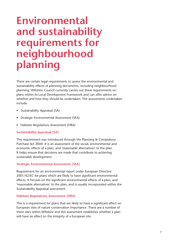## **Environmental and sustainability requirements for neighbourhood planning**

There are certain legal requirements to assess the environmental and sustainability effects of planning documents, including neighbourhood planning. Wiltshire Council currently carries out these requirements on plans within its Local Development Framework and can offer advice on whether and how they should be undertaken. The assessments undertaken include:

- Sustainability Appraisal (SA)
- Strategic Environmental Assessment (SEA)
- Habitats Regulations Assessment (HRA)

#### **Sustainability Appraisal (SA)**

This requirement was introduced through the Planning & Compulsory Purchase Act 2004. It is an assessment of the social, environmental and economic effects of a plan, and 'reasonable alternatives' to the plan. It helps ensure that decisions are made that contribute to achieving sustainable development.

#### **Strategic Environmental Assessment (SEA)**

Requirement for an environmental report under European Directive 2001/42/EC for plans which are likely to have significant environmental effects. It focuses on the significant environmental effects of a plan, and 'reasonable alternatives' to the plan, and is usually incorporated within the Sustainability Appraisal assessment.

#### **Habitats Regulations Assessment (HRA)**

This is a requirement for plans that are likely to have a significant effect on European sites of nature conservation importance. There are a number of these sites within Wiltshire and this assessment establishes whether a plan will have an effect on the integrity of a European site.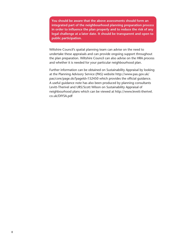**You should be aware that the above assessments should form an integrated part of the neighbourhood planning preparation process**  in order to influence the plan properly and to reduce the risk of any **legal challenge at a later date. It should be transparent and open to public participation.**

Wiltshire Council's spatial planning team can advise on the need to undertake these appraisals and can provide ongoing support throughout the plan preparation. Wiltshire Council can also advise on the HRA process and whether it is needed for your particular neighbourhood plan.

Further information can be obtained on Sustainability Appraisal by looking at the Planning Advisory Service (PAS) website http://www.pas.gov.uk/ pas/core/page.do?pageId=152450 which provides the official guidance. A useful guidance note has also been produced by planning consultants Levitt-Therivel and URS/Scott Wilson on Sustainability Appraisal of neighbourhood plans which can be viewed at http://www.levett-therivel. co.uk/DIYSA.pdf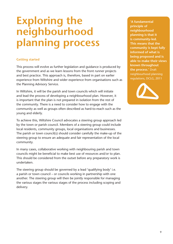## **Exploring the neighbourhood planning process**

#### **Getting started**

This process will evolve as further legislation and guidance is produced by the government and as we learn lessons from the front runner projects and best practice. This approach is, therefore, based in part on earlier experience from Wiltshire and wider experience from organisations such as the Planning Advisory Service.

In Wiltshire, it will be the parish and town councils which will initiate and lead the process of developing a neighbourhood plan. However, it is important that the plan is not prepared in isolation from the rest of the community. There is a need to consider how to engage with the community as well as groups often described as hard-to-reach such as the young and elderly.

To achieve this, Wiltshire Council advocates a steering group approach led by the town or parish council. Members of a steering group could include local residents, community groups, local organisations and businesses. The parish or town council(s) should consider carefully the make-up of the steering group to ensure an adequate and fair representation of the local community.

In many cases, collaborative working with neighbouring parish and town councils might be beneficial to make best use of resources and/or to plan. This should be considered from the outset before any preparatory work is undertaken.

The steering group should be governed by a lead 'qualifying body' i.e. a parish or town council – or councils working in partnership with one another. The steering group will then be jointly responsible for managing the various stages the various stages of the process including scoping and delivery.

**'A fundamental principle of neighbourhood planning is that it is community-led. This means that the community is kept fully informed of what is being proposed and is able to make their views known throughout the process.'** Draft neighbourhood planning regulations, DCLG, 2011

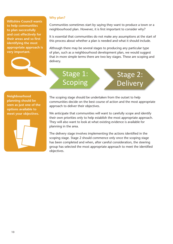**Wiltshire Council wants to help communities to plan successfully and cost effectively for their areas and so first identifying the most appropriate approach is very important.**



#### **Why plan?**

Communities sometimes start by saying they want to produce a town or a neighbourhood plan. However, it is first important to consider why?

It is essential that communities do not make any assumptions at the start of this process about whether a plan is needed and what it should include.

Although there may be several stages to producing any particular type of plan, such as a neighbourhood development plan, we would suggest that in more simple terms there are two key stages. These are scoping and delivery.

Stage 2:

Delivery

## Stage 1: Scoping

**Neighbourhood planning should be seen as just one of the options available to meet your objectives.**



The scoping stage should be undertaken from the outset to help communities decide on the best course of action and the most appropriate approach to deliver their objectives.

We anticipate that communities will want to carefully scope and identify their own priorities only to help establish the most appropriate approach. They will also want to look at what existing evidence is available for planning in the area.

The delivery stage involves implementing the actions identified in the scoping stage. Stage 2 should commence only once the scoping stage has been completed and when, after careful consideration, the steering group has selected the most appropriate approach to meet the identified objectives.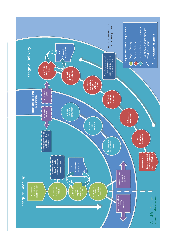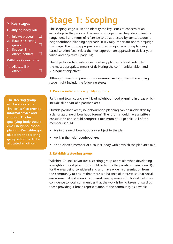### **Key stages**

#### **Qualifying body role**

- 1. Initiate process  $\square$ 2. Establish steering  $q$ roup  $\Box$
- 3. Request 'link officer' contact  $\square$

#### **Wiltshire Council role**

1. Allocate link officer  $\Box$ 

**The steering group will be allocated a**  'link officer' to provide **informal advice and support. The lead qualifying body should email neighbourhood. planning@wiltshire.gov. uk before the steering group is formed to be**  allocated an officer.

## **Stage 1: Scoping**

The scoping stage is used to identify the key issues of concern at an early stage in the process. The results of scoping will help determine the range, detail and terms of reference to be addressed by any subsequent neighbourhood planning approach. It is vitally important not to prejudge this stage. The most appropriate approach might be a 'non-planning' based solution (see 'select the most appropriate approach to deliver your vision and objectives' page 14).

The objective is to create a clear 'delivery plan' which will indentify the most appropriate means of delivering the communities vision and subsequent objectives.

Although there is no prescriptive one-size-fits-all approach the scoping stage might include the following steps:

#### **1. Process initiated by a qualifying body**

Parish and town councils will lead neighbourhood planning in areas which include all or part of a parished area.

Outside parished areas, neighbourhood planning can be undertaken by a designated 'neighbourhood forum'. The forum should have a written constitution and should comprise a minimum of 21 people. All of the members should:

- live in the neighbourhood area subject to the plan
- work in the neighbourhood area
- be an elected member of a council body within which the plan area falls.

#### **2. Establish a steering group**

Wiltshire Council advocates a steering group approach when developing a neighbourhood plan. This should be led by the parish or town council(s) for the area being considered and also have wider representation from the community to ensure that there is a balance of interests so that social, environmental and economic interests are represented. This will help give confidence to local communities that the work is being taken forward by those providing a broad representation of the community as a whole.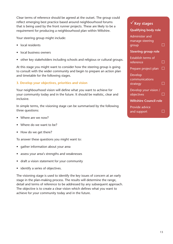Clear terms of reference should be agreed at the outset. The group could reflect emerging best practice based around neighbourhood forums that is being used by the front runner projects. These are likely to be a requirement for producing a neighbourhood plan within Wiltshire.

Your steering group might include:

- local residents
- local business owners
- other key stakeholders including schools and religious or cultural groups.

At this stage you might want to consider how the steering group is going to consult with the wider community and begin to prepare an action plan and timetable for the following stages.

#### **3. Develop your objectives, priorities and vision**

Your neighbourhood vision will define what you want to achieve for your community today and in the future. It should be realistic, clear and inclusive.

In simple terms, the visioning stage can be summarised by the following three questions:

- Where are we now?
- Where do we want to be?
- How do we get there?

To answer these questions you might want to:

- gather information about your area
- assess your area's strengths and weaknesses
- draft a vision statement for your community
- identify a series of objectives.

The visioning stage is used to identify the key issues of concern at an early stage in the plan-making process. The results will determine the range, detail and terms of reference to be addressed by any subsequent approach. The objective is to create a clear vision which defines what you want to achieve for your community today and in the future.

| $\sqrt{\ }$ Key stages                            |   |
|---------------------------------------------------|---|
| <b>Qualifying body role</b>                       |   |
| <b>Administer and</b><br>manage steering<br>group |   |
| <b>Steering group role</b>                        |   |
| <b>Establish terms of</b><br>reference            | H |
| Prepare project plan                              | n |
| <b>Develop</b><br>communications<br>strategy      |   |
| Develop your vision /<br>objectives               |   |
| <b>Wiltshire Council role</b>                     |   |
| <b>Provide advice</b><br>and support              |   |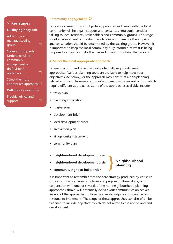## **Key stages**

| <b>Qualifying body role</b>      |  |
|----------------------------------|--|
| Administer and                   |  |
| manage steering                  |  |
| group                            |  |
| Steering group role              |  |
| Undertake wider                  |  |
| community                        |  |
| engagement on                    |  |
| draft vision/                    |  |
| objectives                       |  |
| Select the most                  |  |
| $appropriate$ approach $\square$ |  |
| <b>Wiltshire Council role</b>    |  |

Provide advice and support and  $\square$ 

#### **Community engagement**

Early endorsement of your objectives, priorities and vision with the local community will help gain support and consensus. You could consider talking to local residents, stakeholders and community groups. This stage is not a requirement of the draft regulations and therefore the scope of any consultation should be determined by the steering group. However, it is important to keep the local community fully informed of what is being proposed so they can make their views known throughout the process.

#### **4. Select the most appropriate approach**

Different actions and objectives will potentially require different approaches. Various planning tools are available to help meet your objectives (see below), or the approach may consist of a non-planning related approach. In some communities there may be several actions which require different approaches. Some of the approaches available include:

- town plan
- planning application
- master plan
- development brief
- local development order
- area action plan
- village design statement
- community plan
- **neighbourhood development plan**
- **neighbourhood development order**

### **Neighbourhood planning**

**• community right-to-build order**

It is important to remember that the core strategy produced by Wiltshire Council contains a series of policies and proposals. These alone, or in conjunction with one, or several, of the non neighbourhood planning approaches above, will potentially deliver your communities objectives. Several of the approaches outlined above will require considerable less resource to implement. The scope of these approaches can also often be widened to include objectives which do not relate to the use of land and development.

}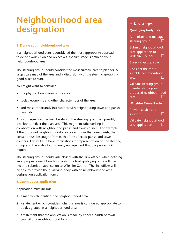## **Neighbourhood area designation**

#### **5. Define your neighbourhood area**

If a neighbourhood plan is considered the most approparite approach to deliver your vision and objectives, the first stage is defining your neighbourhood area.

The steering group should consider the most suitable area to plan for. A large scale map of the area and a discussion with the steering group is a good place to start.

You might want to consider:

- the physical boundaries of the area
- social, economic and other characteristics of the area
- and most importantly interactions with neighbouring town and parish councils.

As a consequence, the membership of the steering group will possibly develop to reflect the plan area. This might include working in collaboration with neighbouring parish and town councils. For example if the proposed neighbourhood area covers more than one parish, then consent must be sought from each of the affected parish and town councils. This will also have implications for representation on the steering group and the scale of community engagement that the process will require.

The steering group should laise closely with the 'link officer' when defining an appropriate neighbourhood area. The lead qualifying body will then need to submit an application to Wiltshire Council. The link officer will be able to provide the qualifying body with an neighbourhood area designation application form.

#### **6. Submit your application**

Application must include:

- 1. a map which identifies the neighbourhood area
- 2. a statement which considers why this area is considered appropriate to be designated as a neighbourhood area
- 3. a statement that the application is made by either a parish or town council or a neighbourhood forum.

### **Key stages**

#### **Qualifying body role**

Administer and manage steering group

Submit neighbourhood area application to Wiltshire Council  $\Box$ 

#### **Steering group role**

Consider the most suitable neighbourhood area  $\square$ 

Validate steering group membership against proposed neighbourhood area  $\Box$ 

#### **Wiltshire Council role**

Provide advice and support D

Validate neighbourhood area application  $\Box$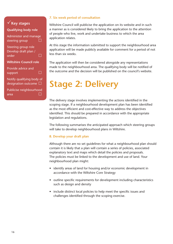### **Key stages**

#### **Qualifying body role**

Administer and manage steering group  $\Box$ 

Steering group role Develop draft plan / order and D

#### **Wiltshire Council role**

Provide advice and support D

Notify qualifying body of designation outcome  $\square$ 

Publicise neighbourhood area  $\square$ 

#### **7. Six week period of consultation**

Wiltshire Council will publicise the application on its website and in such a manner as is considered likely to bring the application to the attention of people who live, work and undertake business to which the area application relates.

At this stage the information submitted to support the neighbourhood area application will be made publicly available for comment for a period of not less than six weeks.

The application will then be considered alongside any representations made to the neighbourhood area. The qualifying body will be notified of the outcome and the decision will be published on the council's website.

## **Stage 2: Delivery**

The delivery stage involves implementing the actions identified in the scoping stage. If a neighbourhood development plan has been identified as the most efficient and cost-effective way to address the objectives identified. This should be prepared in accordance with the appropriate legislation and regulations.

The following summarises the anticipated approach which steering groups will take to develop neighbourhood plans in Wiltshire.

#### **8. Develop your draft plan**

Although there are no set guidelines for what a neighbourhood plan should contain it is likely that a plan will contain a series of policies, associated explanatory text and maps which detail the policies and proposals. The policies must be linked to the development and use of land. Your neighbourhood plan might:

- identify areas of land for housing and/or economic development in accordance with the Wiltshire Core Strategy
- outline specific requirements for development including characteristics such as design and density
- include distinct local policies to help meet the specific issues and challenges identified through the scoping exercise.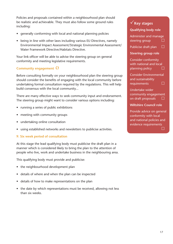Policies and proposals contained within a neighbourhood plan should be realistic and achievable. They must also follow some ground rules including:

- generally conforming with local and national planning policies
- being in line with other laws including various EU Directives, namely Environmental Impact Assessment/Strategic Environmental Assessment/ Water Framework Directive/Habitats Directive.

Your link officer will be able to advise the steering group on general conformity and meeting legislative requirements.

#### **Community engagement**

Before consulting formally on your neighbourhood plan the steering group should consider the benefits of engaging with the local community before undertaking formal consultation required by the regulations. This will help build consensus with the local community...

There are many effective ways to seek community input and endorsement. The steering group might want to consider various options including:

- running a series of public exhibitions
- meeting with community groups
- undertaking online consultation
- using established networks and newsletters to publicise activities.

#### **9. Six week period of consultation**

At this stage the lead qualifying body must publicise the draft plan in a manner which is considered likely to bring the plan to the attention of people who live, work and undertake business in the neighbouring area.

This qualifying body must provide and publicise:

- the neighbourhood development plan
- details of where and when the plan can be inspected
- details of how to make representations on the plan
- the date by which representations must be received, allowing not less than six weeks.

## **Key stages Qualifying body role** Administer and manage steering group  $\Box$ Publicise draft plan  $\Box$ **Steering group role** Consider conformity with national and local planning policy  $\Box$ Consider Environmental and sustainability  $requirements$   $\Box$ Undertake wider community engagement on draft proposals  $\Box$ **Wiltshire Council role** Provide advice on general

conformity with local and national policies and evidence requirements and the state of the Co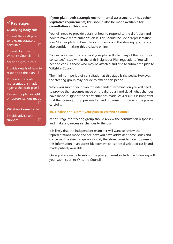## **Key stages**

#### **Qualifying body role**

Submit the draft plan to relevant statutory  $\overline{\phantom{a}}$  consultees  $\overline{\phantom{a}}$ Submit draft plan to Wiltshire Council  $\square$ **Steering group role** Provide details of how to respond to the plan  $\square$ 

Process and collate representations made against the draft plan  $\square$ 

Review the plan in light of representations made and the state of the Co

#### **Wiltshire Council role**

Provide advice and support  $\Box$ 

#### **If your plan needs strategic environmental assessment, or has other legislative requirements, this should also be made available for consultation at this stage.**

You will need to provide details of how to respond to the draft plan and how to make representations on it. This should include a 'representation form' for people to submit their comments on. The steering group could also consider making this available online.

You will also need to consider if your plan will affect any of the 'statutory consultees' listed within the draft Neighbour Plan regulations. You will need to consult those who may be affected and also to submit the plan to Wiltshire Council.

The minimum period of consultation at this stage is six weeks. However, the steering group may decide to extend this period.

When you submit your plan for independent examination you will need to provide the responses made on the draft plan and detail what changes have made in light of the representations made. As a result it is important that the steering group prepare for, and organise, this stage of the process carefully.

#### **10. Finalise and submit your plan to Wiltshire Council**

At this stage the steering group should review the consultation responses and make any necessary changes to the plan.

It is likely that the independent examiner will want to review the representations made and see how you have addressed these issues and concerns. The steering group should, therefore, consider how to present this information in an accessible form which can be distributed easily and made publicly available.

Once you are ready to submit the plan you must include the following with your submission to Wiltshire Council.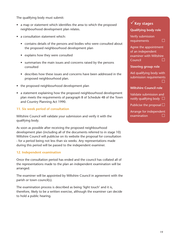The qualifying body must submit:

- a map or statement which identifies the area to which the proposed neighbourhood development plan relates.
- a consultation statement which:
	- contains details of the persons and bodies who were consulted about the proposed neighbourhood development plan
	- explains how they were consulted
	- summarises the main issues and concerns raised by the persons consulted
	- describes how these issues and concerns have been addressed in the proposed neighbourhood plan.
- the proposed neighbourhood development plan
- a statement explaining how the proposed neighbourhood development plan meets the requirements of paragraph 8 of Schedule 4B of the Town and Country Planning Act 1990.

#### **11. Six week period of consultation**

Wiltshire Council will validate your submission and verify it with the qualifying body.

As soon as possible after receiving the proposed neighbourhood development plan (including all of the documents referred to in stage 10) Wiltshire Council will publicise on its website the proposal for consultation - for a period being not less than six weeks. Any representations made during this period will be passed to the independent examiner.

#### **12. Independent examination**

Once the consultation period has ended and the council has collated all of the representations made to the plan an independent examination will be arranged.

The examiner will be appointed by Wiltshire Council in agreement with the parish or town council(s).

The examination process is described as being 'light touch' and it is, therefore, likely to be a written exercise, although the examiner can decide to hold a public hearing.

## **Key stages**

#### **Qualifying body role**

Verify submission requirements  $\Box$ 

Agree the appointment of an independent examiner with Wiltshire  $Count$   $\Box$ 

**Steering group role**

Aid qualifying body with submission requirements and the state of the Co

#### **Wiltshire Council role**

Validate submission and notify qualifying body  $\Box$ 

Publicise the proposal  $\square$ 

Arrange for independent examination  $\square$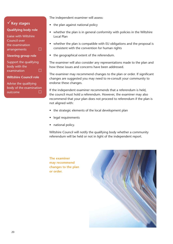| $\sqrt{\ }$ Key stages       |  |
|------------------------------|--|
| <b>Qualifying body role</b>  |  |
| <b>Liaise with Wiltshire</b> |  |
| Council over                 |  |
| the examination              |  |
| arrangements                 |  |
| <b>Steering group role</b>   |  |

Support the qualifying body with the  $examination$   $\Box$ 

#### **Wiltshire Council role**

Advise the qualifying body of the examination outcome

The independent examiner will assess:

- the plan against national policy
- whether the plan is in general conformity with policies in the Wiltshire Local Plan
- whether the plan is compatible with EU obligations and the proposal is consistent with the convention for human rights
- the geographical extent of the referendum.

The examiner will also consider any representations made to the plan and how these issues and concerns have been addressed.

The examiner may recommend changes to the plan or order. If significant changes are suggested you may need to re-consult your community to endorse these changes.

If the independent examiner recommends that a referendum is held, the council must hold a referendum. However, the examiner may also recommend that your plan does not proceed to referendum if the plan is not aligned with:

- the strategic elements of the local development plan
- legal requirements
- national policy.

Wiltshire Council will notify the qualifying body whether a community referendum will be held or not in light of the independent report.

**The examiner may recommend changes to the plan or order.**

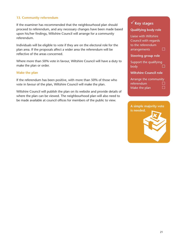#### **13. Community referendum**

If the examiner has recommended that the neighbourhood plan should proceed to referendum, and any necessary changes have been made based upon his/her findings, Wiltshire Council will arrange for a community referendum.

Individuals will be eligible to vote if they are on the electoral role for the plan area. If the proposals affect a wider area the referendum will be reflective of the areas concerned.

Where more than 50% vote in favour, Wiltshire Council will have a duty to make the plan or order.

#### **Make the plan**

If the referendum has been positive, with more than 50% of those who vote in favour of the plan, Wiltshire Council will make the plan.

Wiltshire Council will publish the plan on its website and provide details of where the plan can be viewed. The neighbourhood plan will also need to be made available at council offices for members of the public to view.

## **Key stages Qualifying body role** Liaise with Wiltshire Council with regards to the referendum arrangements  $\square$ **Steering group role** Support the qualifying body  $\Box$ **Wiltshire Council role** Arrange the community referendum Make the plan  $\Box$

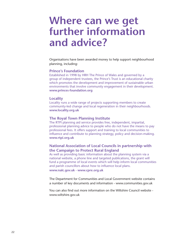## **Where can we get further information and advice?**

Organisations have been awarded money to help support neighbourhood planning, including:

#### **Prince's Foundation**

Established in 1998 by HRH The Prince of Wales and governed by a group of independent trustees, the Prince's Trust is an educational charity which promotes the development and improvement of sustainable urban environments that involve community engagement in their development. **www.princes-foundation.org**

#### **Locality**

Locality runs a wide range of projects supporting members to create community-led change and local regeneration in their neighbourhoods. **www.locality.org.uk**

#### **The Royal Town Planning Institute**

The RTPI planning aid service provides free, independent, impartial, professional planning advice to people who do not have the means to pay professional fees. It offers support and training to local communities to influence and contribute to planning strategy, policy and decision-making. **www.rtpi.org.uk**

#### **National Association of Local Councils in partnership with the Campaign to Protect Rural England**

As well as providing basic information about the planning system via a national website, a phone line and targeted publications, the grant will fund a programme of local events which will help inform local communities and parish councillors about how to influence local plans.

**www.nalc.gov.uk - www.cpre.org.uk**

The Department for Communities and Local Government website contains a number of key documents and information - www.communities.gov.uk

You can also find out more information on the Wiltshire Council website www.wiltshire.gov.uk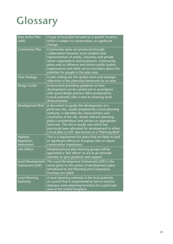# **Glossary**

| <b>Area Action Plan</b><br>(AAP)            | A type of local plan focused on a specific location,<br>which is subject to conservation, or significant<br>change.                                                                                                                                                                                                                                                                                                              |
|---------------------------------------------|----------------------------------------------------------------------------------------------------------------------------------------------------------------------------------------------------------------------------------------------------------------------------------------------------------------------------------------------------------------------------------------------------------------------------------|
| <b>Community Plan</b>                       | Community plans are produced through<br>collaboration between local residents and<br>representatives of public, voluntary and private<br>sector organisations and businesses. Community<br>plans seek to influence and inform public bodies,<br>organisations and other service providers about the<br>priorities for people in the plan area.                                                                                   |
| <b>Core Strategy</b>                        | A plan setting out the spatial vision and strategic<br>objectives of the planning framework for an area.                                                                                                                                                                                                                                                                                                                         |
| Design Guide                                | A document providing guidance on how<br>development can be carried out in accordance<br>with good design practice often produced by<br>a local authority with a view to retaining local<br>distinctiveness.                                                                                                                                                                                                                      |
| Development Brief                           | A document to quide the development of a<br>particular site, usually prepared by a local planning<br>authority. It identifies the characteristics and<br>constraints of the site, details relevant planning<br>policy considerations and advises on appropriate<br>land uses. The site is usually one which has<br>previously been allocated for development in either<br>a local plan or LDF. Also known as a 'Planning Brief'. |
| <b>Habitats</b><br>Regulation<br>Assessment | This is a requirement for plans that are likely to lead<br>to significant effects on European sites of nature<br>conservation importance.                                                                                                                                                                                                                                                                                        |
| Link Officer                                | Neighbourhood plan steering groups will be<br>appointed a 'link officer' to act as an informal<br>member to give guidance and support.                                                                                                                                                                                                                                                                                           |
| Local Development<br>Framework (LDF)        | The Local Development Framework (LDF) is the<br>name given to the system of development plans<br>introduced by the Planning and Compulsory<br>Purchase Act 2004.                                                                                                                                                                                                                                                                 |
| Local Planning<br>Authority                 | A local planning authority is the local authority<br>or council that is empowered by law to exercise<br>statutory town planning functions for a particular<br>area of the United Kingdom.                                                                                                                                                                                                                                        |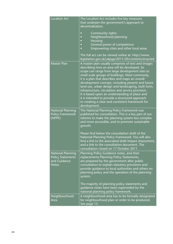| Localism Act                                                                         | The Localism Act includes five key measures<br>that underpin the government's approach to<br>decentralisation.<br>Community rights<br>c<br>Neighbourhood planning<br>$\Box$<br>Housing<br>O<br>General power of competence<br>c<br>Empowering cities and other local areas<br>$\overline{a}$<br>The full act can be viewed online at: http://www.                                                                                                                                                                                                                                                       |
|--------------------------------------------------------------------------------------|---------------------------------------------------------------------------------------------------------------------------------------------------------------------------------------------------------------------------------------------------------------------------------------------------------------------------------------------------------------------------------------------------------------------------------------------------------------------------------------------------------------------------------------------------------------------------------------------------------|
|                                                                                      | legislation.gov.uk/ukpga/2011/20/contents/enacted                                                                                                                                                                                                                                                                                                                                                                                                                                                                                                                                                       |
| <b>Master Plan</b>                                                                   | A master plan usually comprises of text and images<br>describing how an area will be developed. Its<br>scope can range from large development sites to<br>small scale groups of buildings. Most commonly,<br>it is a plan that describes and maps an overall<br>development concept, including present and future<br>land use, urban design and landscaping, built form,<br>infrastructure, circulation and service provision.<br>It is based upon an understanding of place and<br>it is intended to provide a structured approach<br>to creating a clear and consistent framework for<br>development. |
| <b>National Planning</b><br><b>Policy Framework</b><br>(NPPF)                        | The National Planning Policy Framework was<br>published for consultation. This is a key part of our<br>reforms to make the planning system less complex<br>and more accessible, and to promote sustainable<br>growth.<br>Please find below the consultation draft of the<br>National Planning Policy Framework. You will also<br>find a link to the associated draft Impact Assessment,<br>and a link to the consultation document. The<br>consultation closed on 17 October 2011.                                                                                                                      |
| <b>National Planning</b><br><b>Policy Statements</b><br>and Guidance<br><b>Notes</b> | Planning Policy Guidance notes, and their<br>replacements Planning Policy Statements,<br>are prepared by the government after public<br>consultation to explain statutory provisions and<br>provide guidance to local authorities and others on<br>planning policy and the operation of the planning<br>system.<br>The majority of planning policy statements and<br>guidance notes have been superseded by the<br>national planning policy framework.                                                                                                                                                  |
| Neighbourhood<br>Area                                                                | A neighbourhood area has to be formally designated<br>for neighbourhood plan or order to be produced.<br>See page 15.                                                                                                                                                                                                                                                                                                                                                                                                                                                                                   |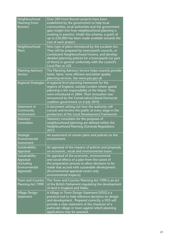| Neighbourhood<br><b>Planning Front</b><br><b>Runners</b>                 | Over 200 Front Runner projects have been<br>established by the government to help local<br>communities, local authorities and the government<br>gain insight into how neighbourhood planning is<br>working in practice. Under this scheme, a grant of<br>up to £20,000 has been made available towards the<br>cost of each project. |
|--------------------------------------------------------------------------|-------------------------------------------------------------------------------------------------------------------------------------------------------------------------------------------------------------------------------------------------------------------------------------------------------------------------------------|
| Neighbourhood<br>Plans                                                   | New type of plans introduced by the Localism Act.<br>They will be prepared by town/parish councils, or<br>constituted Neighbourhood Forums, and develop<br>detailed planning policies for a town/parish (or part<br>of them) in general conformity with the council's<br>Local Plan or LDF.                                         |
| <b>Planning Advisory</b><br>Service                                      | The Planning Advisory Service helps councils provide<br>faster, fairer, more efficient and better quality<br>planning services. See www.pas.gov.uk                                                                                                                                                                                  |
| <b>Regional Strategies</b>                                               | A regional level planning framework for the<br>regions of England, outside London where spatial<br>planning is the responsibility of the Mayor. They<br>were introduced in 2004. Their revocation was<br>announced by the Conservative/Liberal Democrat<br>coalition government on 6 July 2010.                                     |
| Statement of<br>Community<br>Involvement                                 | A document setting out how the authority will<br>consult and involve the public at every stage in the<br>production of the Local Development Framework.                                                                                                                                                                             |
| Statutory<br>Consultees                                                  | Statutory consultees for the purposes of<br>neighbourhood planning are defined within the<br>Neighbourhood Planning (General) Regulations<br>2012.                                                                                                                                                                                  |
| Strategic<br>Environmental<br>Assessment                                 | An assessment of certain plans and policies on the<br>environment.                                                                                                                                                                                                                                                                  |
| Sustainability<br>Appraisal                                              | An appraisal of the impacts of policies and proposals<br>on economic, social and environmental issues.                                                                                                                                                                                                                              |
| Sustainability<br>Appraisal<br>(including<br>Environmental<br>Appraisal) | An appraisal of the economic, environmental<br>and social effects of a plan from the outset of<br>the preparation process to allow decisions to be<br>made that accord with sustainable development.<br>(Environmental appraisal covers only<br>environmental impacts)                                                              |
| Town and Country<br>Planning Act 1990                                    | The Town and Country Planning Act 1990 is an act<br>of the British Parliament regulating the development<br>of land in England and Wales.                                                                                                                                                                                           |
| <b>Village Design</b><br>Statement                                       | A Village or Town Design Statement [VDS] is a<br>practical tool to help influence decisions on design<br>and development. Prepared correctly, a VDS will<br>provide a clear statement of the character of a<br>particular village or town against which planning<br>applications may be assessed.                                   |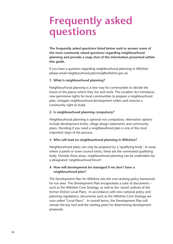## **Frequently asked questions**

**The frequently asked questions listed below seek to answer some of the most commonly raised questions regarding neighbourhood planning and provide a snap shot of the information presented within this guide.**

If you have a question regarding neighbourhood planning in Wiltshire please email neighbourhood.planning@wiltshire.gov.uk.

#### **1. What is neighbourhood planning?**

Neighbourhood planning is a new way for communities to decide the future of the places where they live and work. The Localism Act introduces new permissive rights for local communities to prepare a neighbourhood plan, instigate neighbourhood development orders and exercise a community right to build.

#### **2. Is neighbourhood planning compulsory?**

Neighbourhood planning is optional not compulsory. Alternative options include development briefs, village design statements and community plans. Deciding if you need a neighbourhood plan is one of the most important steps of the process.

#### **3. Who will lead on neighbourhood planning in Wiltshire?**

Neighbourhood plans can only be prepared by a 'qualifying body'. In areas where a parish or town council exists, these are the nominated qualifying body. Outside these areas, neighbourhood planning can be undertaken by a designated 'neighbourhood forum'.

#### **4. How will development be managed if we don't have a neighbourhood plan?**

The Development Plan for Wiltshire sets the over-arching policy framework for our area. The Development Plan encapsulates a suite of documents – such as the Wiltshire Core Strategy; as well as the 'saved' policies of the former District Local Plans. In accordance with new national policy and planning regulations, documents such as the Wiltshire Core Strategy are now called "Local Plans". In overall terms, the Development Plan will remain the key tool and the starting point for determining development proposals.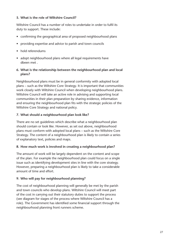#### **5. What is the role of Wiltshire Council?**

Wiltshire Council has a number of roles to undertake in order to fulfil its duty to support. These include:

- confirming the geographical area of proposed neighbourhood plans
- providing expertise and advice to parish and town councils
- hold referendums
- adopt neighbourhood plans where all legal requirements have dbeen met .
- **6. What is the relationship between the neighbourhood plan and local plans?**

Neighbourhood plans must be in general conformity with adopted local plans – such as the Wiltshire Core Strategy. It is important that communities work closely with Wiltshire Council when developing neighbourhood plans. Wiltshire Council will take an active role in advising and supporting local communities in their plan preparation by sharing evidence, information and ensuring the neighbourhood plan fits with the strategic policies of the Wiltshire Core Strategy and national policy.

#### **7. What should a neighbourhood plan look like?**

There are no set guidelines which describe what a neighbourhood plan should contain or look like. However, as set out above, neighbourhood plans must conform with adopted local plans – such as the Wiltshire Core Strategy. The content of a neighbourhood plan is likely to contain a series of explanatory text, policies and maps.

#### **8. How much work is involved in creating a neighbourhood plan?**

The amount of work will be largely dependent on the content and scope of the plan. For example the neighbourhood plan could focus on a single issue such as identifying development sites in line with the core strategy. However, preparing a neighbourhood plan is likely to take a considerable amount of time and effort.

#### **9. Who will pay for neighbourhood planning?**

The cost of neighbourhood planning will generally be met by the parish and town councils who develop plans. Wiltshire Council will meet part of the cost in carrying out their statutory duties to support the process (see diagram for stages of the process where Wiltshire Council has a role). The Government has identified some financial support through the neighbourhood planning front runners scheme.